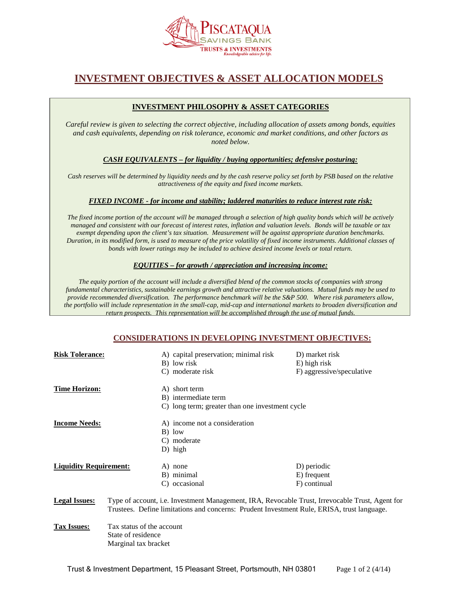

# **INVESTMENT OBJECTIVES & ASSET ALLOCATION MODELS**

# **INVESTMENT PHILOSOPHY & ASSET CATEGORIES**

*Careful review is given to selecting the correct objective, including allocation of assets among bonds, equities and cash equivalents, depending on risk tolerance, economic and market conditions, and other factors as noted below.* 

*CASH EQUIVALENTS – for liquidity / buying opportunities; defensive posturing:*

*Cash reserves will be determined by liquidity needs and by the cash reserve policy set forth by PSB based on the relative attractiveness of the equity and fixed income markets.* 

## *FIXED INCOME - for income and stability; laddered maturities to reduce interest rate risk:*

*The fixed income portion of the account will be managed through a selection of high quality bonds which will be actively managed and consistent with our forecast of interest rates, inflation and valuation levels. Bonds will be taxable or tax exempt depending upon the client's tax situation. Measurement will be against appropriate duration benchmarks. Duration, in its modified form, is used to measure of the price volatility of fixed income instruments. Additional classes of bonds with lower ratings may be included to achieve desired income levels or total return.*

#### *EQUITIES – for growth / appreciation and increasing income:*

*The equity portion of the account will include a diversified blend of the common stocks of companies with strong fundamental characteristics, sustainable earnings growth and attractive relative valuations. Mutual funds may be used to provide recommended diversification. The performance benchmark will be the S&P 500. Where risk parameters allow, the portfolio will include representation in the small-cap, mid-cap and international markets to broaden diversification and return prospects. This representation will be accomplished through the use of mutual funds.*

## **CONSIDERATIONS IN DEVELOPING INVESTMENT OBJECTIVES:**

| <b>Risk Tolerance:</b>        |                                                                                                                                                                                               | A) capital preservation; minimal risk<br>B) low risk<br>C) moderate risk                 | D) market risk<br>E) high risk<br>F) aggressive/speculative |
|-------------------------------|-----------------------------------------------------------------------------------------------------------------------------------------------------------------------------------------------|------------------------------------------------------------------------------------------|-------------------------------------------------------------|
| <b>Time Horizon:</b>          |                                                                                                                                                                                               | A) short term<br>B) intermediate term<br>C) long term; greater than one investment cycle |                                                             |
| <b>Income Needs:</b>          |                                                                                                                                                                                               | A) income not a consideration<br>B) low<br>C) moderate<br>$D)$ high                      |                                                             |
| <b>Liquidity Requirement:</b> |                                                                                                                                                                                               | A) none<br>B) minimal<br>C) occasional                                                   | D) periodic<br>E) frequent<br>F) continual                  |
| <b>Legal Issues:</b>          | Type of account, i.e. Investment Management, IRA, Revocable Trust, Irrevocable Trust, Agent for<br>Trustees. Define limitations and concerns: Prudent Investment Rule, ERISA, trust language. |                                                                                          |                                                             |
| <b>Tax Issues:</b>            | Tax status of the account<br>State of residence<br>Marginal tax bracket                                                                                                                       |                                                                                          |                                                             |